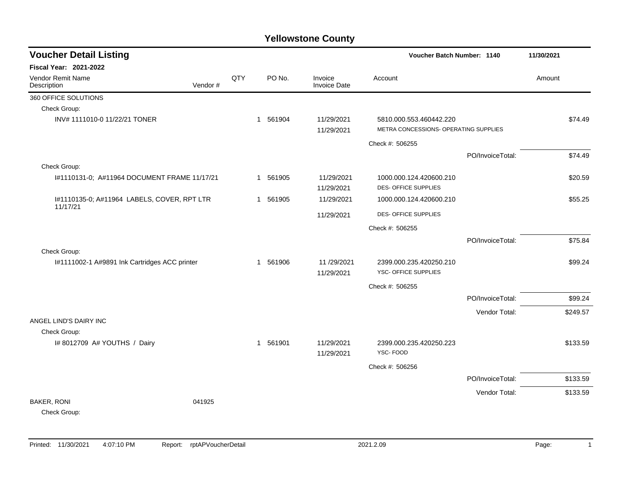| <b>Voucher Detail Listing</b>                           |         | Voucher Batch Number: 1140 |          |                                |                                                                  |                  |        |          |
|---------------------------------------------------------|---------|----------------------------|----------|--------------------------------|------------------------------------------------------------------|------------------|--------|----------|
| <b>Fiscal Year: 2021-2022</b>                           |         |                            |          |                                |                                                                  |                  |        |          |
| Vendor Remit Name<br>Description                        | Vendor# | QTY                        | PO No.   | Invoice<br><b>Invoice Date</b> | Account                                                          |                  | Amount |          |
| 360 OFFICE SOLUTIONS                                    |         |                            |          |                                |                                                                  |                  |        |          |
| Check Group:                                            |         |                            |          |                                |                                                                  |                  |        |          |
| INV# 1111010-0 11/22/21 TONER                           |         |                            | 1 561904 | 11/29/2021<br>11/29/2021       | 5810.000.553.460442.220<br>METRA CONCESSIONS- OPERATING SUPPLIES |                  |        | \$74.49  |
|                                                         |         |                            |          |                                | Check #: 506255                                                  |                  |        |          |
|                                                         |         |                            |          |                                |                                                                  | PO/InvoiceTotal: |        | \$74.49  |
| Check Group:                                            |         |                            |          |                                |                                                                  |                  |        |          |
| I#1110131-0; A#11964 DOCUMENT FRAME 11/17/21            |         |                            | 1 561905 | 11/29/2021<br>11/29/2021       | 1000.000.124.420600.210<br>DES-OFFICE SUPPLIES                   |                  |        | \$20.59  |
| I#1110135-0; A#11964 LABELS, COVER, RPT LTR<br>11/17/21 |         |                            | 1 561905 | 11/29/2021                     | 1000.000.124.420600.210                                          |                  |        | \$55.25  |
|                                                         |         |                            |          | 11/29/2021                     | DES-OFFICE SUPPLIES                                              |                  |        |          |
|                                                         |         |                            |          |                                | Check #: 506255                                                  |                  |        |          |
|                                                         |         |                            |          |                                |                                                                  | PO/InvoiceTotal: |        | \$75.84  |
| Check Group:                                            |         |                            |          |                                |                                                                  |                  |        |          |
| I#1111002-1 A#9891 Ink Cartridges ACC printer           |         |                            | 1 561906 | 11/29/2021<br>11/29/2021       | 2399.000.235.420250.210<br>YSC- OFFICE SUPPLIES                  |                  |        | \$99.24  |
|                                                         |         |                            |          |                                | Check #: 506255                                                  |                  |        |          |
|                                                         |         |                            |          |                                |                                                                  | PO/InvoiceTotal: |        | \$99.24  |
|                                                         |         |                            |          |                                |                                                                  | Vendor Total:    |        | \$249.57 |
| ANGEL LIND'S DAIRY INC                                  |         |                            |          |                                |                                                                  |                  |        |          |
| Check Group:                                            |         |                            |          |                                |                                                                  |                  |        |          |
| I# 8012709 A# YOUTHS / Dairy                            |         |                            | 1 561901 | 11/29/2021<br>11/29/2021       | 2399.000.235.420250.223<br>YSC-FOOD                              |                  |        | \$133.59 |
|                                                         |         |                            |          |                                | Check #: 506256                                                  |                  |        |          |
|                                                         |         |                            |          |                                |                                                                  | PO/InvoiceTotal: |        | \$133.59 |
|                                                         |         |                            |          |                                |                                                                  | Vendor Total:    |        | \$133.59 |
| <b>BAKER, RONI</b><br>Check Group:                      | 041925  |                            |          |                                |                                                                  |                  |        |          |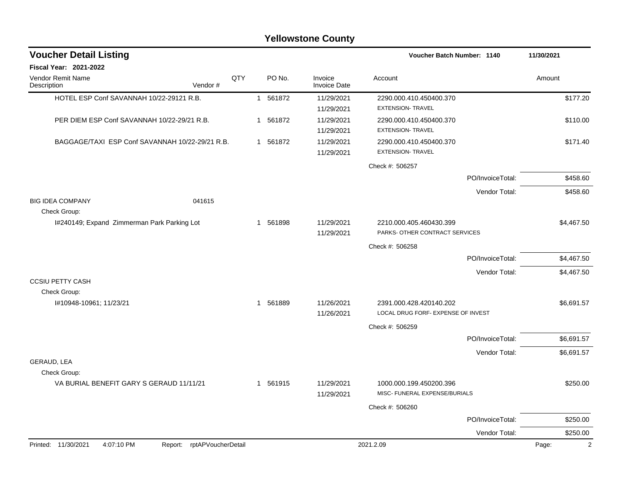| <b>Voucher Detail Listing</b>                      |     |          |                                |                                                           | Voucher Batch Number: 1140 |            |
|----------------------------------------------------|-----|----------|--------------------------------|-----------------------------------------------------------|----------------------------|------------|
| <b>Fiscal Year: 2021-2022</b>                      |     |          |                                |                                                           |                            |            |
| <b>Vendor Remit Name</b><br>Vendor#<br>Description | QTY | PO No.   | Invoice<br><b>Invoice Date</b> | Account                                                   |                            | Amount     |
| HOTEL ESP Conf SAVANNAH 10/22-29121 R.B.           |     | 1 561872 | 11/29/2021<br>11/29/2021       | 2290.000.410.450400.370<br><b>EXTENSION- TRAVEL</b>       |                            | \$177.20   |
| PER DIEM ESP Conf SAVANNAH 10/22-29/21 R.B.        |     | 1 561872 | 11/29/2021<br>11/29/2021       | 2290.000.410.450400.370<br><b>EXTENSION- TRAVEL</b>       |                            | \$110.00   |
| BAGGAGE/TAXI ESP Conf SAVANNAH 10/22-29/21 R.B.    |     | 1 561872 | 11/29/2021<br>11/29/2021       | 2290.000.410.450400.370<br><b>EXTENSION- TRAVEL</b>       |                            | \$171.40   |
|                                                    |     |          |                                | Check #: 506257                                           |                            |            |
|                                                    |     |          |                                |                                                           | PO/InvoiceTotal:           | \$458.60   |
|                                                    |     |          |                                |                                                           | Vendor Total:              | \$458.60   |
| <b>BIG IDEA COMPANY</b><br>041615<br>Check Group:  |     |          |                                |                                                           |                            |            |
| I#240149; Expand Zimmerman Park Parking Lot        |     | 1 561898 | 11/29/2021<br>11/29/2021       | 2210.000.405.460430.399<br>PARKS- OTHER CONTRACT SERVICES |                            | \$4,467.50 |
|                                                    |     |          |                                | Check #: 506258                                           |                            |            |
|                                                    |     |          |                                |                                                           | PO/InvoiceTotal:           | \$4,467.50 |
|                                                    |     |          |                                |                                                           | Vendor Total:              | \$4,467.50 |
| <b>CCSIU PETTY CASH</b>                            |     |          |                                |                                                           |                            |            |
| Check Group:<br>#10948-10961; 11/23/21             |     | 1 561889 | 11/26/2021                     | 2391.000.428.420140.202                                   |                            | \$6,691.57 |
|                                                    |     |          | 11/26/2021                     | LOCAL DRUG FORF- EXPENSE OF INVEST                        |                            |            |
|                                                    |     |          |                                | Check #: 506259                                           |                            |            |
|                                                    |     |          |                                |                                                           | PO/InvoiceTotal:           | \$6,691.57 |
|                                                    |     |          |                                |                                                           | Vendor Total:              | \$6,691.57 |
| GERAUD, LEA                                        |     |          |                                |                                                           |                            |            |
| Check Group:                                       |     |          |                                |                                                           |                            |            |
| VA BURIAL BENEFIT GARY S GERAUD 11/11/21           |     | 1 561915 | 11/29/2021<br>11/29/2021       | 1000.000.199.450200.396<br>MISC- FUNERAL EXPENSE/BURIALS  |                            | \$250.00   |
|                                                    |     |          |                                | Check #: 506260                                           |                            |            |
|                                                    |     |          |                                |                                                           | PO/InvoiceTotal:           | \$250.00   |
|                                                    |     |          |                                |                                                           | Vendor Total:              | \$250.00   |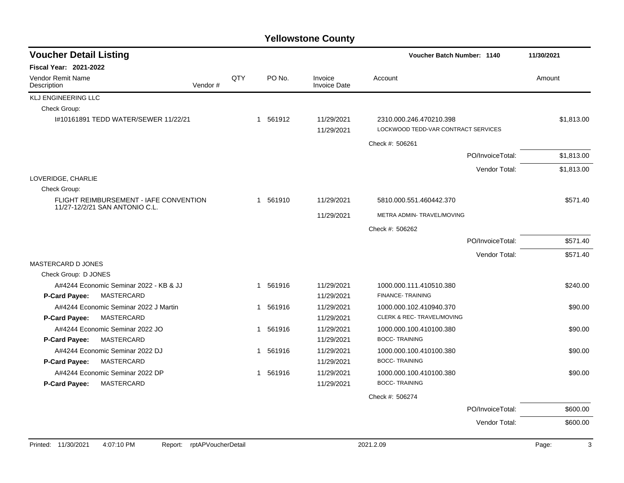| <b>Voucher Detail Listing</b>                                                   |         |     |             |                                |                                                                | Voucher Batch Number: 1140 |            |  |
|---------------------------------------------------------------------------------|---------|-----|-------------|--------------------------------|----------------------------------------------------------------|----------------------------|------------|--|
| <b>Fiscal Year: 2021-2022</b>                                                   |         |     |             |                                |                                                                |                            |            |  |
| Vendor Remit Name<br>Description                                                | Vendor# | QTY | PO No.      | Invoice<br><b>Invoice Date</b> | Account                                                        |                            | Amount     |  |
| <b>KLJ ENGINEERING LLC</b>                                                      |         |     |             |                                |                                                                |                            |            |  |
| Check Group:                                                                    |         |     |             |                                |                                                                |                            |            |  |
| #10161891 TEDD WATER/SEWER 11/22/21                                             |         |     | 1 561912    | 11/29/2021<br>11/29/2021       | 2310.000.246.470210.398<br>LOCKWOOD TEDD-VAR CONTRACT SERVICES |                            | \$1,813.00 |  |
|                                                                                 |         |     |             |                                | Check #: 506261                                                |                            |            |  |
|                                                                                 |         |     |             |                                |                                                                | PO/InvoiceTotal:           | \$1,813.00 |  |
|                                                                                 |         |     |             |                                |                                                                | Vendor Total:              | \$1,813.00 |  |
| LOVERIDGE, CHARLIE                                                              |         |     |             |                                |                                                                |                            |            |  |
| Check Group:                                                                    |         |     |             |                                |                                                                |                            |            |  |
| <b>FLIGHT REIMBURSEMENT - IAFE CONVENTION</b><br>11/27-12/2/21 SAN ANTONIO C.L. |         |     | 1 561910    | 11/29/2021                     | 5810.000.551.460442.370                                        |                            | \$571.40   |  |
|                                                                                 |         |     |             | 11/29/2021                     | METRA ADMIN-TRAVEL/MOVING                                      |                            |            |  |
|                                                                                 |         |     |             |                                | Check #: 506262                                                |                            |            |  |
|                                                                                 |         |     |             |                                |                                                                | PO/InvoiceTotal:           | \$571.40   |  |
|                                                                                 |         |     |             |                                |                                                                | Vendor Total:              | \$571.40   |  |
| <b>MASTERCARD D JONES</b>                                                       |         |     |             |                                |                                                                |                            |            |  |
| Check Group: D JONES                                                            |         |     |             |                                |                                                                |                            |            |  |
| A#4244 Economic Seminar 2022 - KB & JJ                                          |         |     | 1 561916    | 11/29/2021                     | 1000.000.111.410510.380                                        |                            | \$240.00   |  |
| <b>P-Card Payee:</b><br>MASTERCARD                                              |         |     |             | 11/29/2021                     | FINANCE-TRAINING                                               |                            |            |  |
| A#4244 Economic Seminar 2022 J Martin                                           |         |     | 1 561916    | 11/29/2021                     | 1000.000.102.410940.370                                        |                            | \$90.00    |  |
| MASTERCARD<br><b>P-Card Payee:</b>                                              |         |     |             | 11/29/2021                     | CLERK & REC- TRAVEL/MOVING                                     |                            |            |  |
| A#4244 Economic Seminar 2022 JO                                                 |         |     | 561916<br>1 | 11/29/2021                     | 1000.000.100.410100.380                                        |                            | \$90.00    |  |
| P-Card Payee:<br>MASTERCARD                                                     |         |     |             | 11/29/2021                     | <b>BOCC-TRAINING</b>                                           |                            |            |  |
| A#4244 Economic Seminar 2022 DJ                                                 |         |     | 561916<br>1 | 11/29/2021                     | 1000.000.100.410100.380                                        |                            | \$90.00    |  |
| P-Card Payee:<br>MASTERCARD                                                     |         |     |             | 11/29/2021                     | <b>BOCC-TRAINING</b>                                           |                            |            |  |
| A#4244 Economic Seminar 2022 DP                                                 |         |     | 561916<br>1 | 11/29/2021                     | 1000.000.100.410100.380                                        |                            | \$90.00    |  |
| MASTERCARD<br>P-Card Payee:                                                     |         |     |             | 11/29/2021                     | <b>BOCC-TRAINING</b>                                           |                            |            |  |
|                                                                                 |         |     |             |                                | Check #: 506274                                                |                            |            |  |
|                                                                                 |         |     |             |                                |                                                                | PO/InvoiceTotal:           | \$600.00   |  |
|                                                                                 |         |     |             |                                |                                                                | Vendor Total:              | \$600.00   |  |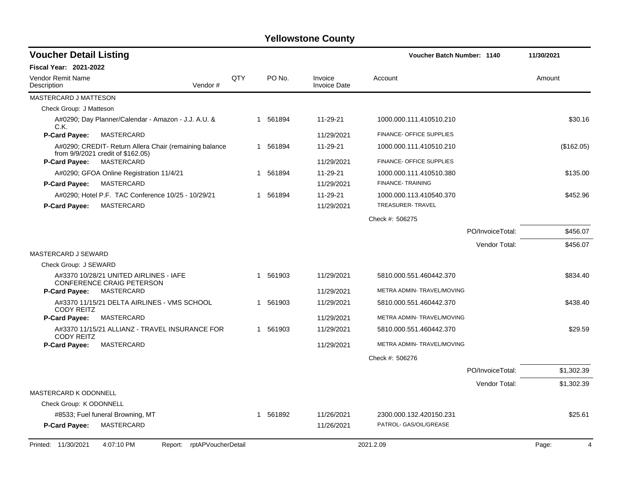| <b>Voucher Detail Listing</b>                                                               |     |          |                                | Voucher Batch Number: 1140                  | 11/30/2021                  |
|---------------------------------------------------------------------------------------------|-----|----------|--------------------------------|---------------------------------------------|-----------------------------|
| Fiscal Year: 2021-2022                                                                      |     |          |                                |                                             |                             |
| Vendor Remit Name<br>Description<br>Vendor#                                                 | QTY | PO No.   | Invoice<br><b>Invoice Date</b> | Account                                     | Amount                      |
| <b>MASTERCARD J MATTESON</b>                                                                |     |          |                                |                                             |                             |
| Check Group: J Matteson                                                                     |     |          |                                |                                             |                             |
| A#0290; Day Planner/Calendar - Amazon - J.J. A.U. &<br>C.K.                                 |     | 1 561894 | 11-29-21                       | 1000.000.111.410510.210                     | \$30.16                     |
| <b>P-Card Payee:</b><br>MASTERCARD                                                          |     |          | 11/29/2021                     | FINANCE- OFFICE SUPPLIES                    |                             |
| A#0290; CREDIT- Return Allera Chair (remaining balance<br>from 9/9/2021 credit of \$162.05) |     | 1 561894 | 11-29-21                       | 1000.000.111.410510.210                     | (\$162.05)                  |
| <b>P-Card Payee:</b><br>MASTERCARD                                                          |     |          | 11/29/2021                     | FINANCE- OFFICE SUPPLIES                    |                             |
| A#0290; GFOA Online Registration 11/4/21<br>P-Card Payee:<br>MASTERCARD                     |     | 1 561894 | 11-29-21<br>11/29/2021         | 1000.000.111.410510.380<br>FINANCE-TRAINING | \$135.00                    |
| A#0290; Hotel P.F. TAC Conference 10/25 - 10/29/21                                          |     | 1 561894 | 11-29-21                       | 1000.000.113.410540.370                     | \$452.96                    |
| <b>P-Card Payee:</b><br><b>MASTERCARD</b>                                                   |     |          | 11/29/2021                     | TREASURER-TRAVEL                            |                             |
|                                                                                             |     |          |                                | Check #: 506275                             |                             |
|                                                                                             |     |          |                                | PO/InvoiceTotal:                            | \$456.07                    |
|                                                                                             |     |          |                                |                                             | Vendor Total:<br>\$456.07   |
| <b>MASTERCARD J SEWARD</b>                                                                  |     |          |                                |                                             |                             |
| Check Group: J SEWARD                                                                       |     |          |                                |                                             |                             |
| A#3370 10/28/21 UNITED AIRLINES - IAFE<br><b>CONFERENCE CRAIG PETERSON</b>                  |     | 1 561903 | 11/29/2021                     | 5810.000.551.460442.370                     | \$834.40                    |
| <b>P-Card Payee:</b><br>MASTERCARD                                                          |     |          | 11/29/2021                     | METRA ADMIN- TRAVEL/MOVING                  |                             |
| A#3370 11/15/21 DELTA AIRLINES - VMS SCHOOL<br><b>CODY REITZ</b>                            |     | 1 561903 | 11/29/2021                     | 5810.000.551.460442.370                     | \$438.40                    |
| MASTERCARD<br><b>P-Card Payee:</b>                                                          |     |          | 11/29/2021                     | METRA ADMIN-TRAVEL/MOVING                   |                             |
| A#3370 11/15/21 ALLIANZ - TRAVEL INSURANCE FOR<br><b>CODY REITZ</b>                         |     | 1 561903 | 11/29/2021                     | 5810.000.551.460442.370                     | \$29.59                     |
| <b>P-Card Payee:</b><br>MASTERCARD                                                          |     |          | 11/29/2021                     | METRA ADMIN- TRAVEL/MOVING                  |                             |
|                                                                                             |     |          |                                | Check #: 506276                             |                             |
|                                                                                             |     |          |                                | PO/InvoiceTotal:                            | \$1,302.39                  |
|                                                                                             |     |          |                                |                                             | Vendor Total:<br>\$1,302.39 |
| <b>MASTERCARD K ODONNELL</b>                                                                |     |          |                                |                                             |                             |
| Check Group: K ODONNELL                                                                     |     |          |                                |                                             |                             |
| #8533; Fuel funeral Browning, MT                                                            |     | 1 561892 | 11/26/2021                     | 2300.000.132.420150.231                     | \$25.61                     |
| MASTERCARD<br>P-Card Payee:                                                                 |     |          | 11/26/2021                     | PATROL- GAS/OIL/GREASE                      |                             |
| rptAPVoucherDetail<br>Printed: 11/30/2021<br>4:07:10 PM<br>Report:                          |     |          |                                | 2021.2.09                                   | Page:<br>$\overline{4}$     |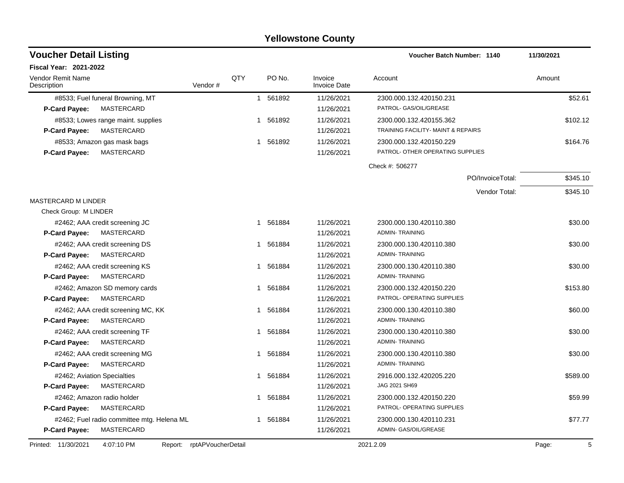| <b>Voucher Detail Listing</b><br><b>Voucher Batch Number: 1140</b>   |     | 11/30/2021             |                                |                                                  |          |
|----------------------------------------------------------------------|-----|------------------------|--------------------------------|--------------------------------------------------|----------|
| <b>Fiscal Year: 2021-2022</b>                                        |     |                        |                                |                                                  |          |
| <b>Vendor Remit Name</b><br>Vendor#<br>Description                   | QTY | PO No.                 | Invoice<br><b>Invoice Date</b> | Account                                          | Amount   |
| #8533; Fuel funeral Browning, MT                                     |     | 561892<br>$\mathbf{1}$ | 11/26/2021                     | 2300.000.132.420150.231                          | \$52.61  |
| MASTERCARD<br>P-Card Payee:                                          |     |                        | 11/26/2021                     | PATROL- GAS/OIL/GREASE                           |          |
| #8533; Lowes range maint. supplies                                   |     | 561892<br>1            | 11/26/2021                     | 2300.000.132.420155.362                          | \$102.12 |
| <b>MASTERCARD</b><br>P-Card Payee:                                   |     |                        | 11/26/2021                     | TRAINING FACILITY- MAINT & REPAIRS               |          |
| #8533; Amazon gas mask bags                                          |     | 561892<br>1            | 11/26/2021                     | 2300.000.132.420150.229                          | \$164.76 |
| <b>MASTERCARD</b><br>P-Card Payee:                                   |     |                        | 11/26/2021                     | PATROL- OTHER OPERATING SUPPLIES                 |          |
|                                                                      |     |                        |                                | Check #: 506277                                  |          |
|                                                                      |     |                        |                                | PO/InvoiceTotal:                                 | \$345.10 |
|                                                                      |     |                        |                                | Vendor Total:                                    | \$345.10 |
| <b>MASTERCARD M LINDER</b>                                           |     |                        |                                |                                                  |          |
| Check Group: M LINDER                                                |     |                        |                                |                                                  |          |
| #2462; AAA credit screening JC<br>P-Card Payee:<br>MASTERCARD        |     | 561884<br>1            | 11/26/2021<br>11/26/2021       | 2300.000.130.420110.380<br><b>ADMIN-TRAINING</b> | \$30.00  |
|                                                                      |     | 561884<br>1            | 11/26/2021                     | 2300.000.130.420110.380                          | \$30.00  |
| #2462; AAA credit screening DS<br><b>P-Card Payee:</b><br>MASTERCARD |     |                        | 11/26/2021                     | <b>ADMIN-TRAINING</b>                            |          |
| #2462; AAA credit screening KS                                       |     | 561884<br>1            | 11/26/2021                     | 2300.000.130.420110.380                          | \$30.00  |
| <b>MASTERCARD</b><br><b>P-Card Payee:</b>                            |     |                        | 11/26/2021                     | <b>ADMIN-TRAINING</b>                            |          |
| #2462; Amazon SD memory cards                                        |     | 561884<br>1            | 11/26/2021                     | 2300.000.132.420150.220                          | \$153.80 |
| <b>MASTERCARD</b><br><b>P-Card Payee:</b>                            |     |                        | 11/26/2021                     | PATROL- OPERATING SUPPLIES                       |          |
| #2462; AAA credit screening MC, KK                                   |     | 561884<br>1            | 11/26/2021                     | 2300.000.130.420110.380                          | \$60.00  |
| MASTERCARD<br><b>P-Card Payee:</b>                                   |     |                        | 11/26/2021                     | <b>ADMIN-TRAINING</b>                            |          |
| #2462; AAA credit screening TF                                       |     | 561884<br>1            | 11/26/2021                     | 2300.000.130.420110.380                          | \$30.00  |
| MASTERCARD<br><b>P-Card Payee:</b>                                   |     |                        | 11/26/2021                     | <b>ADMIN-TRAINING</b>                            |          |
| #2462; AAA credit screening MG                                       |     | 561884<br>1            | 11/26/2021                     | 2300.000.130.420110.380                          | \$30.00  |
| MASTERCARD<br><b>P-Card Payee:</b>                                   |     |                        | 11/26/2021                     | <b>ADMIN-TRAINING</b>                            |          |
| #2462; Aviation Specialties                                          |     | 561884<br>1            | 11/26/2021                     | 2916.000.132.420205.220                          | \$589.00 |
| MASTERCARD<br><b>P-Card Payee:</b>                                   |     |                        | 11/26/2021                     | JAG 2021 SH69                                    |          |
| #2462; Amazon radio holder                                           |     | 561884<br>1            | 11/26/2021                     | 2300.000.132.420150.220                          | \$59.99  |
| <b>P-Card Payee:</b><br>MASTERCARD                                   |     |                        | 11/26/2021                     | PATROL- OPERATING SUPPLIES                       |          |
| #2462; Fuel radio committee mtg. Helena ML                           |     | 561884<br>1            | 11/26/2021                     | 2300.000.130.420110.231                          | \$77.77  |
| MASTERCARD<br>P-Card Payee:                                          |     |                        | 11/26/2021                     | ADMIN- GAS/OIL/GREASE                            |          |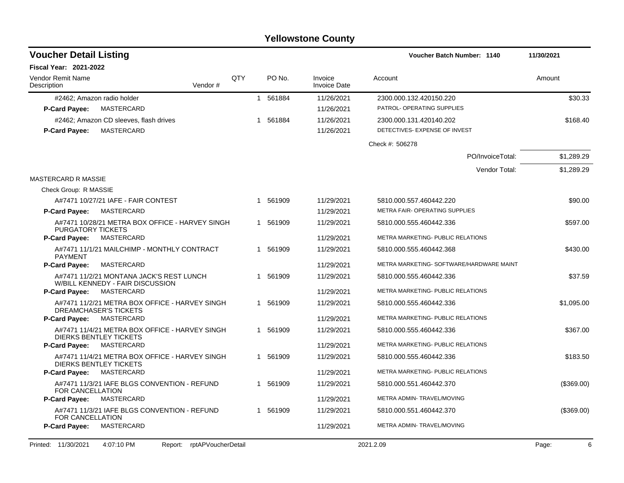| <b>Voucher Detail Listing</b>                                                   |                            |     |          |                                | <b>Voucher Batch Number: 1140</b>        | 11/30/2021 |
|---------------------------------------------------------------------------------|----------------------------|-----|----------|--------------------------------|------------------------------------------|------------|
| <b>Fiscal Year: 2021-2022</b>                                                   |                            |     |          |                                |                                          |            |
| Vendor Remit Name<br>Description                                                | Vendor#                    | QTY | PO No.   | Invoice<br><b>Invoice Date</b> | Account                                  | Amount     |
| #2462; Amazon radio holder                                                      |                            |     | 1 561884 | 11/26/2021                     | 2300.000.132.420150.220                  | \$30.33    |
| MASTERCARD<br><b>P-Card Payee:</b>                                              |                            |     |          | 11/26/2021                     | PATROL- OPERATING SUPPLIES               |            |
| #2462; Amazon CD sleeves, flash drives                                          |                            |     | 1 561884 | 11/26/2021                     | 2300.000.131.420140.202                  | \$168.40   |
| MASTERCARD<br><b>P-Card Payee:</b>                                              |                            |     |          | 11/26/2021                     | DETECTIVES- EXPENSE OF INVEST            |            |
|                                                                                 |                            |     |          |                                | Check #: 506278                          |            |
|                                                                                 |                            |     |          |                                | PO/InvoiceTotal:                         | \$1,289.29 |
|                                                                                 |                            |     |          |                                | Vendor Total:                            | \$1,289.29 |
| <b>MASTERCARD R MASSIE</b>                                                      |                            |     |          |                                |                                          |            |
| Check Group: R MASSIE                                                           |                            |     |          |                                |                                          |            |
| A#7471 10/27/21 IAFE - FAIR CONTEST                                             |                            |     | 1 561909 | 11/29/2021                     | 5810.000.557.460442.220                  | \$90.00    |
| MASTERCARD<br><b>P-Card Payee:</b>                                              |                            |     |          | 11/29/2021                     | METRA FAIR- OPERATING SUPPLIES           |            |
| A#7471 10/28/21 METRA BOX OFFICE - HARVEY SINGH<br><b>PURGATORY TICKETS</b>     |                            |     | 1 561909 | 11/29/2021                     | 5810.000.555.460442.336                  | \$597.00   |
| <b>P-Card Payee:</b><br>MASTERCARD                                              |                            |     |          | 11/29/2021                     | METRA MARKETING- PUBLIC RELATIONS        |            |
| A#7471 11/1/21 MAILCHIMP - MONTHLY CONTRACT<br><b>PAYMENT</b>                   |                            |     | 1 561909 | 11/29/2021                     | 5810.000.555.460442.368                  | \$430.00   |
| MASTERCARD<br><b>P-Card Payee:</b>                                              |                            |     |          | 11/29/2021                     | METRA MARKETING- SOFTWARE/HARDWARE MAINT |            |
| A#7471 11/2/21 MONTANA JACK'S REST LUNCH<br>W/BILL KENNEDY - FAIR DISCUSSION    |                            |     | 1 561909 | 11/29/2021                     | 5810.000.555.460442.336                  | \$37.59    |
| P-Card Payee:<br>MASTERCARD                                                     |                            |     |          | 11/29/2021                     | METRA MARKETING- PUBLIC RELATIONS        |            |
| A#7471 11/2/21 METRA BOX OFFICE - HARVEY SINGH<br>DREAMCHASER'S TICKETS         |                            |     | 1 561909 | 11/29/2021                     | 5810.000.555.460442.336                  | \$1,095.00 |
| MASTERCARD<br><b>P-Card Payee:</b>                                              |                            |     |          | 11/29/2021                     | METRA MARKETING- PUBLIC RELATIONS        |            |
| A#7471 11/4/21 METRA BOX OFFICE - HARVEY SINGH<br><b>DIERKS BENTLEY TICKETS</b> |                            |     | 1 561909 | 11/29/2021                     | 5810.000.555.460442.336                  | \$367.00   |
| MASTERCARD<br><b>P-Card Payee:</b>                                              |                            |     |          | 11/29/2021                     | METRA MARKETING- PUBLIC RELATIONS        |            |
| A#7471 11/4/21 METRA BOX OFFICE - HARVEY SINGH<br><b>DIERKS BENTLEY TICKETS</b> |                            |     | 1 561909 | 11/29/2021                     | 5810.000.555.460442.336                  | \$183.50   |
| MASTERCARD<br><b>P-Card Payee:</b>                                              |                            |     |          | 11/29/2021                     | METRA MARKETING- PUBLIC RELATIONS        |            |
| A#7471 11/3/21 IAFE BLGS CONVENTION - REFUND<br><b>FOR CANCELLATION</b>         |                            |     | 1 561909 | 11/29/2021                     | 5810.000.551.460442.370                  | (\$369.00) |
| <b>P-Card Payee:</b><br>MASTERCARD                                              |                            |     |          | 11/29/2021                     | METRA ADMIN- TRAVEL/MOVING               |            |
| A#7471 11/3/21 IAFE BLGS CONVENTION - REFUND<br>FOR CANCELLATION                |                            |     | 1 561909 | 11/29/2021                     | 5810.000.551.460442.370                  | (\$369.00) |
| MASTERCARD<br><b>P-Card Payee:</b>                                              |                            |     |          | 11/29/2021                     | METRA ADMIN-TRAVEL/MOVING                |            |
| 4:07:10 PM<br>Printed: 11/30/2021                                               | Report: rptAPVoucherDetail |     |          |                                | 2021.2.09                                | Page:<br>6 |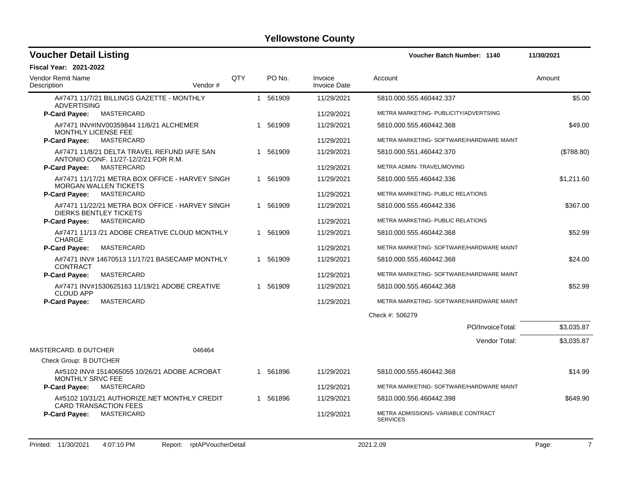| <b>Voucher Detail Listing</b>                                                       |         |     |          |                                | Voucher Batch Number: 1140                             | 11/30/2021 |
|-------------------------------------------------------------------------------------|---------|-----|----------|--------------------------------|--------------------------------------------------------|------------|
| <b>Fiscal Year: 2021-2022</b>                                                       |         |     |          |                                |                                                        |            |
| Vendor Remit Name<br>Description                                                    | Vendor# | QTY | PO No.   | Invoice<br><b>Invoice Date</b> | Account                                                | Amount     |
| A#7471 11/7/21 BILLINGS GAZETTE - MONTHLY<br><b>ADVERTISING</b>                     |         |     | 1 561909 | 11/29/2021                     | 5810.000.555.460442.337                                | \$5.00     |
| <b>P-Card Payee:</b><br>MASTERCARD                                                  |         |     |          | 11/29/2021                     | METRA MARKETING- PUBLICITY/ADVERTSING                  |            |
| A#7471 INV#INV00359844 11/6/21 ALCHEMER<br><b>MONTHLY LICENSE FEE</b>               |         |     | 1 561909 | 11/29/2021                     | 5810.000.555.460442.368                                | \$49.00    |
| MASTERCARD<br><b>P-Card Payee:</b>                                                  |         |     |          | 11/29/2021                     | METRA MARKETING- SOFTWARE/HARDWARE MAINT               |            |
| A#7471 11/8/21 DELTA TRAVEL REFUND IAFE SAN<br>ANTONIO CONF. 11/27-12/2/21 FOR R.M. |         |     | 1 561909 | 11/29/2021                     | 5810.000.551.460442.370                                | (\$788.80) |
| <b>P-Card Payee:</b><br>MASTERCARD                                                  |         |     |          | 11/29/2021                     | METRA ADMIN- TRAVEL/MOVING                             |            |
| A#7471 11/17/21 METRA BOX OFFICE - HARVEY SINGH<br><b>MORGAN WALLEN TICKETS</b>     |         |     | 1 561909 | 11/29/2021                     | 5810.000.555.460442.336                                | \$1,211.60 |
| MASTERCARD<br><b>P-Card Payee:</b>                                                  |         |     |          | 11/29/2021                     | METRA MARKETING- PUBLIC RELATIONS                      |            |
| A#7471 11/22/21 METRA BOX OFFICE - HARVEY SINGH<br>DIERKS BENTLEY TICKETS           |         |     | 1 561909 | 11/29/2021                     | 5810.000.555.460442.336                                | \$367.00   |
| MASTERCARD<br><b>P-Card Payee:</b>                                                  |         |     |          | 11/29/2021                     | METRA MARKETING- PUBLIC RELATIONS                      |            |
| A#7471 11/13 /21 ADOBE CREATIVE CLOUD MONTHLY<br><b>CHARGE</b>                      |         |     | 1 561909 | 11/29/2021                     | 5810.000.555.460442.368                                | \$52.99    |
| P-Card Payee:<br>MASTERCARD                                                         |         |     |          | 11/29/2021                     | METRA MARKETING- SOFTWARE/HARDWARE MAINT               |            |
| A#7471 INV# 14670513 11/17/21 BASECAMP MONTHLY<br><b>CONTRACT</b>                   |         |     | 1 561909 | 11/29/2021                     | 5810.000.555.460442.368                                | \$24.00    |
| P-Card Payee:<br>MASTERCARD                                                         |         |     |          | 11/29/2021                     | METRA MARKETING- SOFTWARE/HARDWARE MAINT               |            |
| A#7471 INV#1530625163 11/19/21 ADOBE CREATIVE<br><b>CLOUD APP</b>                   |         |     | 1 561909 | 11/29/2021                     | 5810.000.555.460442.368                                | \$52.99    |
| <b>P-Card Payee:</b><br>MASTERCARD                                                  |         |     |          | 11/29/2021                     | METRA MARKETING- SOFTWARE/HARDWARE MAINT               |            |
|                                                                                     |         |     |          |                                | Check #: 506279                                        |            |
|                                                                                     |         |     |          |                                | PO/InvoiceTotal:                                       | \$3,035.87 |
|                                                                                     |         |     |          |                                | Vendor Total:                                          | \$3,035.87 |
| MASTERCARD. B DUTCHER                                                               | 046464  |     |          |                                |                                                        |            |
| Check Group: B DUTCHER                                                              |         |     |          |                                |                                                        |            |
| A#5102 INV# 1514065055 10/26/21 ADOBE ACROBAT<br><b>MONTHLY SRVC FEE</b>            |         |     | 1 561896 | 11/29/2021                     | 5810.000.555.460442.368                                | \$14.99    |
| MASTERCARD<br><b>P-Card Payee:</b>                                                  |         |     |          | 11/29/2021                     | METRA MARKETING- SOFTWARE/HARDWARE MAINT               |            |
| A#5102 10/31/21 AUTHORIZE.NET MONTHLY CREDIT<br><b>CARD TRANSACTION FEES</b>        |         |     | 1 561896 | 11/29/2021                     | 5810.000.556.460442.398                                | \$649.90   |
| MASTERCARD<br><b>P-Card Payee:</b>                                                  |         |     |          | 11/29/2021                     | METRA ADMISSIONS- VARIABLE CONTRACT<br><b>SERVICES</b> |            |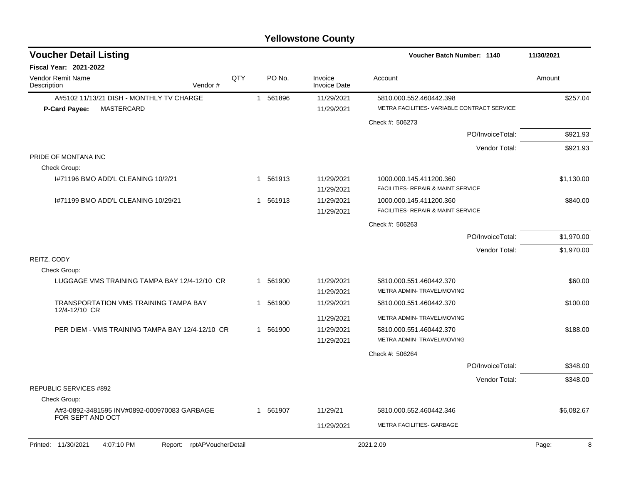| <b>Voucher Detail Listing</b>                                      |     |                       |                                | Voucher Batch Number: 1140                                    | 11/30/2021 |
|--------------------------------------------------------------------|-----|-----------------------|--------------------------------|---------------------------------------------------------------|------------|
| Fiscal Year: 2021-2022                                             |     |                       |                                |                                                               |            |
| Vendor Remit Name<br>Vendor#<br>Description                        | QTY | PO No.                | Invoice<br><b>Invoice Date</b> | Account                                                       | Amount     |
| A#5102 11/13/21 DISH - MONTHLY TV CHARGE                           |     | 1 561896              | 11/29/2021                     | 5810.000.552.460442.398                                       | \$257.04   |
| <b>MASTERCARD</b><br><b>P-Card Payee:</b>                          |     |                       | 11/29/2021                     | METRA FACILITIES- VARIABLE CONTRACT SERVICE                   |            |
|                                                                    |     |                       |                                | Check #: 506273                                               |            |
|                                                                    |     |                       |                                | PO/InvoiceTotal:                                              | \$921.93   |
|                                                                    |     |                       |                                | Vendor Total:                                                 | \$921.93   |
| PRIDE OF MONTANA INC                                               |     |                       |                                |                                                               |            |
| Check Group:                                                       |     |                       |                                |                                                               |            |
| 1#71196 BMO ADD'L CLEANING 10/2/21                                 |     | 1 561913              | 11/29/2021<br>11/29/2021       | 1000.000.145.411200.360<br>FACILITIES- REPAIR & MAINT SERVICE | \$1,130.00 |
| 1#71199 BMO ADD'L CLEANING 10/29/21                                |     | 1 561913              | 11/29/2021<br>11/29/2021       | 1000.000.145.411200.360<br>FACILITIES- REPAIR & MAINT SERVICE | \$840.00   |
|                                                                    |     |                       |                                | Check #: 506263                                               |            |
|                                                                    |     |                       |                                | PO/InvoiceTotal:                                              | \$1,970.00 |
|                                                                    |     |                       |                                | Vendor Total:                                                 | \$1,970.00 |
| REITZ, CODY                                                        |     |                       |                                |                                                               |            |
| Check Group:                                                       |     |                       |                                |                                                               |            |
| LUGGAGE VMS TRAINING TAMPA BAY 12/4-12/10 CR                       |     | 1 561900              | 11/29/2021                     | 5810.000.551.460442.370                                       | \$60.00    |
|                                                                    |     |                       | 11/29/2021                     | METRA ADMIN-TRAVEL/MOVING                                     |            |
| <b>TRANSPORTATION VMS TRAINING TAMPA BAY</b><br>12/4-12/10 CR      |     | 561900<br>$\mathbf 1$ | 11/29/2021                     | 5810.000.551.460442.370                                       | \$100.00   |
|                                                                    |     |                       | 11/29/2021                     | METRA ADMIN-TRAVEL/MOVING                                     |            |
| PER DIEM - VMS TRAINING TAMPA BAY 12/4-12/10 CR                    |     | 1 561900              | 11/29/2021                     | 5810.000.551.460442.370                                       | \$188.00   |
|                                                                    |     |                       | 11/29/2021                     | METRA ADMIN- TRAVEL/MOVING                                    |            |
|                                                                    |     |                       |                                | Check #: 506264                                               |            |
|                                                                    |     |                       |                                | PO/InvoiceTotal:                                              | \$348.00   |
|                                                                    |     |                       |                                | Vendor Total:                                                 | \$348.00   |
| <b>REPUBLIC SERVICES #892</b>                                      |     |                       |                                |                                                               |            |
| Check Group:                                                       |     |                       |                                |                                                               |            |
| A#3-0892-3481595 INV#0892-000970083 GARBAGE<br>FOR SEPT AND OCT    |     | 1 561907              | 11/29/21                       | 5810.000.552.460442.346                                       | \$6,082.67 |
|                                                                    |     |                       | 11/29/2021                     | METRA FACILITIES- GARBAGE                                     |            |
| 4:07:10 PM<br>rptAPVoucherDetail<br>Printed: 11/30/2021<br>Report: |     |                       |                                | 2021.2.09                                                     | Page:<br>8 |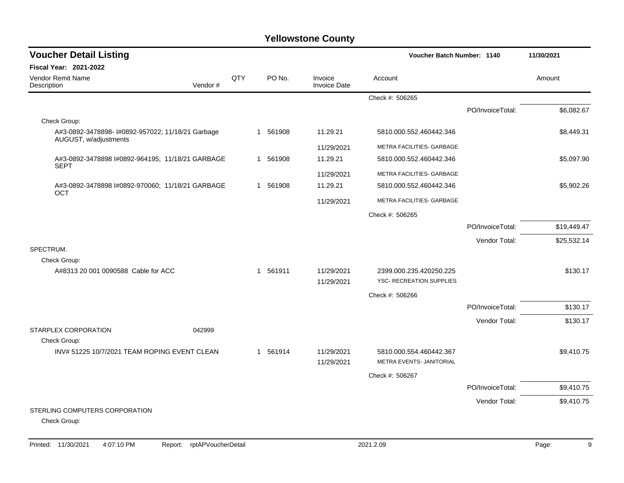| <b>Voucher Detail Listing</b>                                              |         |     |   |          |                                | Voucher Batch Number: 1140                          |                  | 11/30/2021  |
|----------------------------------------------------------------------------|---------|-----|---|----------|--------------------------------|-----------------------------------------------------|------------------|-------------|
| <b>Fiscal Year: 2021-2022</b>                                              |         |     |   |          |                                |                                                     |                  |             |
| <b>Vendor Remit Name</b><br>Description                                    | Vendor# | QTY |   | PO No.   | Invoice<br><b>Invoice Date</b> | Account                                             |                  | Amount      |
|                                                                            |         |     |   |          |                                | Check #: 506265                                     |                  |             |
|                                                                            |         |     |   |          |                                |                                                     | PO/InvoiceTotal: | \$6,082.67  |
| Check Group:                                                               |         |     |   |          |                                |                                                     |                  |             |
| A#3-0892-3478898- I#0892-957022; 11/18/21 Garbage<br>AUGUST, w/adjustments |         |     |   | 1 561908 | 11.29.21                       | 5810.000.552.460442.346                             |                  | \$8,449.31  |
|                                                                            |         |     |   |          | 11/29/2021                     | METRA FACILITIES- GARBAGE                           |                  |             |
| A#3-0892-3478898 I#0892-964195; 11/18/21 GARBAGE<br><b>SEPT</b>            |         |     |   | 1 561908 | 11.29.21                       | 5810.000.552.460442.346                             |                  | \$5,097.90  |
|                                                                            |         |     |   |          | 11/29/2021                     | METRA FACILITIES- GARBAGE                           |                  |             |
| A#3-0892-3478898 I#0892-970060; 11/18/21 GARBAGE<br><b>OCT</b>             |         |     | 1 | 561908   | 11.29.21                       | 5810.000.552.460442.346                             |                  | \$5,902.26  |
|                                                                            |         |     |   |          | 11/29/2021                     | METRA FACILITIES- GARBAGE                           |                  |             |
|                                                                            |         |     |   |          |                                | Check #: 506265                                     |                  |             |
|                                                                            |         |     |   |          |                                |                                                     | PO/InvoiceTotal: | \$19,449.47 |
|                                                                            |         |     |   |          |                                |                                                     | Vendor Total:    | \$25,532.14 |
| SPECTRUM.                                                                  |         |     |   |          |                                |                                                     |                  |             |
| Check Group:                                                               |         |     |   |          |                                |                                                     |                  |             |
| A#8313 20 001 0090588 Cable for ACC                                        |         |     |   | 1 561911 | 11/29/2021<br>11/29/2021       | 2399.000.235.420250.225<br>YSC- RECREATION SUPPLIES |                  | \$130.17    |
|                                                                            |         |     |   |          |                                | Check #: 506266                                     |                  |             |
|                                                                            |         |     |   |          |                                |                                                     | PO/InvoiceTotal: | \$130.17    |
|                                                                            |         |     |   |          |                                |                                                     | Vendor Total:    | \$130.17    |
| STARPLEX CORPORATION<br>Check Group:                                       | 042999  |     |   |          |                                |                                                     |                  |             |
| INV# 51225 10/7/2021 TEAM ROPING EVENT CLEAN                               |         |     |   | 1 561914 | 11/29/2021<br>11/29/2021       | 5810.000.554.460442.367<br>METRA EVENTS- JANITORIAL |                  | \$9,410.75  |
|                                                                            |         |     |   |          |                                |                                                     |                  |             |
|                                                                            |         |     |   |          |                                | Check #: 506267                                     |                  |             |
|                                                                            |         |     |   |          |                                |                                                     | PO/InvoiceTotal: | \$9,410.75  |
| STERLING COMPUTERS CORPORATION                                             |         |     |   |          |                                |                                                     | Vendor Total:    | \$9,410.75  |
| Check Group:                                                               |         |     |   |          |                                |                                                     |                  |             |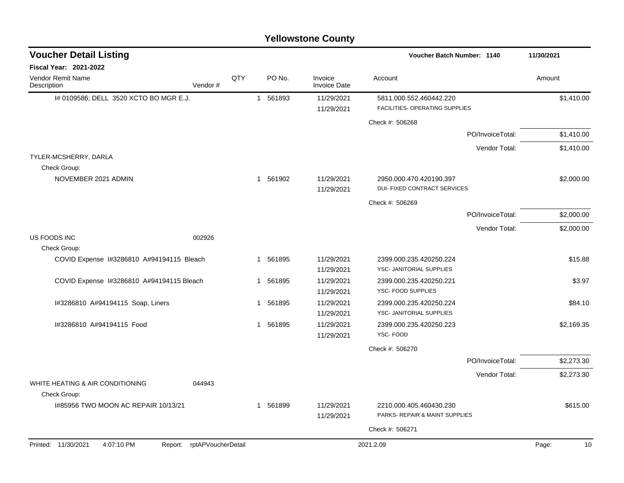|                                                     |                            |     |             | <b>Yellowstone County</b>      |                                                     |                  |             |
|-----------------------------------------------------|----------------------------|-----|-------------|--------------------------------|-----------------------------------------------------|------------------|-------------|
| <b>Voucher Detail Listing</b>                       |                            |     |             |                                | Voucher Batch Number: 1140                          |                  | 11/30/2021  |
| Fiscal Year: 2021-2022                              |                            |     |             |                                |                                                     |                  |             |
| Vendor Remit Name<br>Description                    | Vendor#                    | QTY | PO No.      | Invoice<br><b>Invoice Date</b> | Account                                             |                  | Amount      |
| I# 0109586; DELL 3520 XCTO BO MGR E.J.              |                            |     | 1 561893    | 11/29/2021                     | 5811.000.552.460442.220                             |                  | \$1,410.00  |
|                                                     |                            |     |             | 11/29/2021                     | FACILITIES- OPERATING SUPPLIES                      |                  |             |
|                                                     |                            |     |             |                                | Check #: 506268                                     |                  |             |
|                                                     |                            |     |             |                                |                                                     | PO/InvoiceTotal: | \$1,410.00  |
|                                                     |                            |     |             |                                |                                                     | Vendor Total:    | \$1,410.00  |
| TYLER-MCSHERRY, DARLA                               |                            |     |             |                                |                                                     |                  |             |
| Check Group:<br>NOVEMBER 2021 ADMIN                 |                            |     | 1 561902    | 11/29/2021                     | 2950.000.470.420190.397                             |                  | \$2,000.00  |
|                                                     |                            |     |             | 11/29/2021                     | DUI- FIXED CONTRACT SERVICES                        |                  |             |
|                                                     |                            |     |             |                                | Check #: 506269                                     |                  |             |
|                                                     |                            |     |             |                                |                                                     | PO/InvoiceTotal: | \$2,000.00  |
|                                                     |                            |     |             |                                |                                                     | Vendor Total:    | \$2,000.00  |
| US FOODS INC                                        | 002926                     |     |             |                                |                                                     |                  |             |
| Check Group:                                        |                            |     |             |                                |                                                     |                  |             |
| COVID Expense I#3286810 A#94194115 Bleach           |                            |     | 561895<br>1 | 11/29/2021<br>11/29/2021       | 2399.000.235.420250.224<br>YSC- JANITORIAL SUPPLIES |                  | \$15.88     |
| COVID Expense I#3286810 A#94194115 Bleach           |                            |     | 1 561895    | 11/29/2021                     | 2399.000.235.420250.221                             |                  | \$3.97      |
|                                                     |                            |     |             | 11/29/2021                     | YSC- FOOD SUPPLIES                                  |                  |             |
| I#3286810 A#94194115 Soap, Liners                   |                            |     | 1 561895    | 11/29/2021                     | 2399.000.235.420250.224                             |                  | \$84.10     |
|                                                     |                            |     |             | 11/29/2021                     | YSC- JANITORIAL SUPPLIES                            |                  |             |
| #3286810 A#94194115 Food                            |                            |     | 561895<br>1 | 11/29/2021                     | 2399.000.235.420250.223                             |                  | \$2,169.35  |
|                                                     |                            |     |             | 11/29/2021                     | YSC-FOOD                                            |                  |             |
|                                                     |                            |     |             |                                | Check #: 506270                                     |                  |             |
|                                                     |                            |     |             |                                |                                                     | PO/InvoiceTotal: | \$2,273.30  |
|                                                     |                            |     |             |                                |                                                     | Vendor Total:    | \$2,273.30  |
| WHITE HEATING & AIR CONDITIONING                    | 044943                     |     |             |                                |                                                     |                  |             |
| Check Group:<br>1#85956 TWO MOON AC REPAIR 10/13/21 |                            |     | 1 561899    | 11/29/2021                     | 2210.000.405.460430.230                             |                  | \$615.00    |
|                                                     |                            |     |             | 11/29/2021                     | PARKS- REPAIR & MAINT SUPPLIES                      |                  |             |
|                                                     |                            |     |             |                                | Check #: 506271                                     |                  |             |
|                                                     |                            |     |             |                                |                                                     |                  |             |
| Printed: 11/30/2021<br>4:07:10 PM                   | Report: rptAPVoucherDetail |     |             |                                | 2021.2.09                                           |                  | Page:<br>10 |